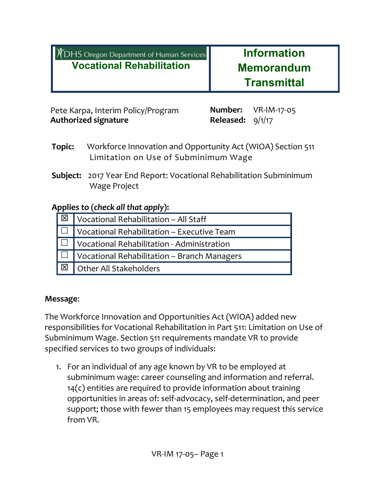| <b>XDHS</b> Oregon Department of Human Services | <b>Information</b> |  |  |
|-------------------------------------------------|--------------------|--|--|
| <b>Vocational Rehabilitation</b>                | <b>Memorandum</b>  |  |  |
|                                                 | <b>Transmittal</b> |  |  |

Pete Karpa, Interim Policy/Program Manager **Authorized signature Released:**

**Number:** VR-IM-17-05 Released:  $9/1/17$ 

- **Topic:** Workforce Innovation and Opportunity Act (WIOA) Section 511 Limitation on Use of Subminimum Wage
- **Subject:** 2017 Year End Report: Vocational Rehabilitation Subminimum Wage Project

# **Applies to (***check all that apply***):**

| $\sqrt{\mathbb{E} \cdot \mathbb{E} \cdot \mathbb{E} \cdot \mathbb{E} \cdot \mathbb{E} \cdot \mathbb{E} \cdot \mathbb{E} \cdot \mathbb{E} \cdot \mathbb{E} \cdot \mathbb{E} \cdot \mathbb{E} \cdot \mathbb{E} \cdot \mathbb{E} \cdot \mathbb{E} \cdot \mathbb{E} \cdot \mathbb{E} \cdot \mathbb{E} \cdot \mathbb{E} \cdot \mathbb{E} \cdot \mathbb{E} \cdot \mathbb{E} \cdot \mathbb{E} \cdot \mathbb{E} \cdot \mathbb{E} \cdot \mathbb{E} \cdot \mathbb{E} \cdot \mathbb{E} \cdot \math$ |
|------------------------------------------------------------------------------------------------------------------------------------------------------------------------------------------------------------------------------------------------------------------------------------------------------------------------------------------------------------------------------------------------------------------------------------------------------------------------------------------|
| $\Box$ Vocational Rehabilitation – Executive Team                                                                                                                                                                                                                                                                                                                                                                                                                                        |
| $\Box$ Vocational Rehabilitation - Administration                                                                                                                                                                                                                                                                                                                                                                                                                                        |
| $\Box$ Vocational Rehabilitation – Branch Managers                                                                                                                                                                                                                                                                                                                                                                                                                                       |
| $\sqrt{\boxtimes}$   Other All Stakeholders                                                                                                                                                                                                                                                                                                                                                                                                                                              |

# **Message**:

The Workforce Innovation and Opportunities Act (WIOA) added new responsibilities for Vocational Rehabilitation in Part 511: Limitation on Use of Subminimum Wage. Section 511 requirements mandate VR to provide specified services to two groups of individuals:

1. For an individual of any age known by VR to be employed at subminimum wage: career counseling and information and referral. 14(c) entities are required to provide information about training opportunities in areas of: self-advocacy, self-determination, and peer support; those with fewer than 15 employees may request this service from VR.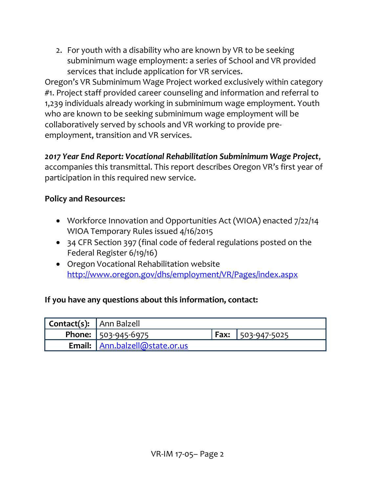2. For youth with a disability who are known by VR to be seeking subminimum wage employment: a series of School and VR provided services that include application for VR services.

Oregon's VR Subminimum Wage Project worked exclusively within category #1. Project staff provided career counseling and information and referral to 1,239 individuals already working in subminimum wage employment. Youth who are known to be seeking subminimum wage employment will be collaboratively served by schools and VR working to provide preemployment, transition and VR services.

*2017 Year End Report: Vocational Rehabilitation Subminimum Wage Project*, accompanies this transmittal. This report describes Oregon VR's first year of participation in this required new service.

## **Policy and Resources:**

- Workforce Innovation and Opportunities Act (WIOA) enacted 7/22/14 WIOA Temporary Rules issued 4/16/2015
- 34 CFR Section 397 (final code of federal regulations posted on the Federal Register 6/19/16)
- Oregon Vocational Rehabilitation website <http://www.oregon.gov/dhs/employment/VR/Pages/index.aspx>

# **If you have any questions about this information, contact:**

| <b>Contact(s):</b> Ann Balzell |                                       |                                         |
|--------------------------------|---------------------------------------|-----------------------------------------|
|                                | <b>Phone:</b> $ 503-945-6975 $        | $\sqrt{25}$ Fax: $\sqrt{503}$ -947-5025 |
|                                | <b>Email:</b> Ann.balzell@state.or.us |                                         |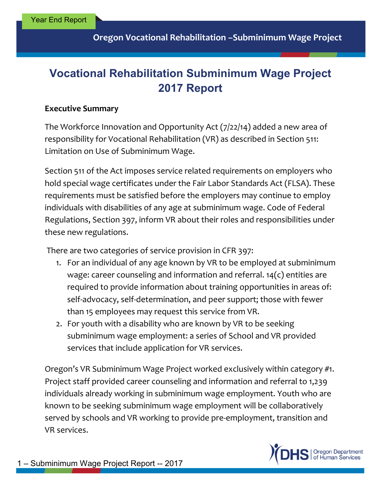# **Vocational Rehabilitation Subminimum Wage Project 2017 Report**

#### **Executive Summary**

The Workforce Innovation and Opportunity Act (7/22/14) added a new area of responsibility for Vocational Rehabilitation (VR) as described in Section 511: Limitation on Use of Subminimum Wage.

Section 511 of the Act imposes service related requirements on employers who hold special wage certificates under the Fair Labor Standards Act (FLSA). These requirements must be satisfied before the employers may continue to employ individuals with disabilities of any age at subminimum wage. Code of Federal Regulations, Section 397, inform VR about their roles and responsibilities under these new regulations.

There are two categories of service provision in CFR 397:

- 1. For an individual of any age known by VR to be employed at subminimum wage: career counseling and information and referral. 14(c) entities are required to provide information about training opportunities in areas of: self-advocacy, self-determination, and peer support; those with fewer than 15 employees may request this service from VR.
- 2. For youth with a disability who are known by VR to be seeking subminimum wage employment: a series of School and VR provided services that include application for VR services.

Oregon's VR Subminimum Wage Project worked exclusively within category #1. Project staff provided career counseling and information and referral to 1,239 individuals already working in subminimum wage employment. Youth who are known to be seeking subminimum wage employment will be collaboratively served by schools and VR working to provide pre-employment, transition and VR services.

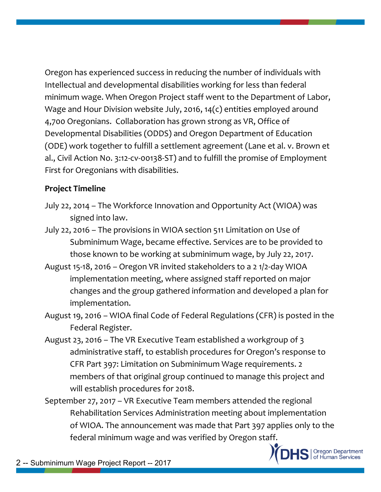Oregon has experienced success in reducing the number of individuals with Intellectual and developmental disabilities working for less than federal minimum wage. When Oregon Project staff went to the Department of Labor, Wage and Hour Division website July, 2016, 14(c) entities employed around 4,700 Oregonians. Collaboration has grown strong as VR, Office of Developmental Disabilities (ODDS) and Oregon Department of Education (ODE) work together to fulfill a settlement agreement (Lane et al. v. Brown et al., Civil Action No. 3:12-cv-00138-ST) and to fulfill the promise of Employment First for Oregonians with disabilities.

#### **Project Timeline**

- July 22, 2014 The Workforce Innovation and Opportunity Act (WIOA) was signed into law.
- July 22, 2016 The provisions in WIOA section 511 Limitation on Use of Subminimum Wage, became effective. Services are to be provided to those known to be working at subminimum wage, by July 22, 2017.
- August 15-18, 2016 Oregon VR invited stakeholders to a 2 1/2-day WIOA implementation meeting, where assigned staff reported on major changes and the group gathered information and developed a plan for implementation.
- August 19, 2016 WIOA final Code of Federal Regulations (CFR) is posted in the Federal Register.
- August 23, 2016 The VR Executive Team established a workgroup of 3 administrative staff, to establish procedures for Oregon's response to CFR Part 397: Limitation on Subminimum Wage requirements. 2 members of that original group continued to manage this project and will establish procedures for 2018.
- September 27, 2017 VR Executive Team members attended the regional Rehabilitation Services Administration meeting about implementation of WIOA. The announcement was made that Part 397 applies only to the federal minimum wage and was verified by Oregon staff.



2 -- Subminimum Wage Project Report -- 2017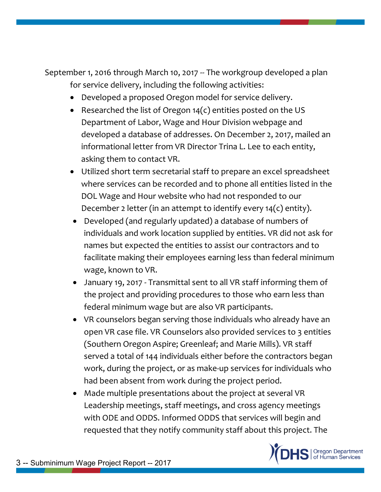September 1, 2016 through March 10, 2017 -- The workgroup developed a plan for service delivery, including the following activities:

- Developed a proposed Oregon model for service delivery.
- Researched the list of Oregon  $14(c)$  entities posted on the US Department of Labor, Wage and Hour Division webpage and developed a database of addresses. On December 2, 2017, mailed an informational letter from VR Director Trina L. Lee to each entity, asking them to contact VR.
- Utilized short term secretarial staff to prepare an excel spreadsheet where services can be recorded and to phone all entities listed in the DOL Wage and Hour website who had not responded to our December 2 letter (in an attempt to identify every 14(c) entity).
- Developed (and regularly updated) a database of numbers of individuals and work location supplied by entities. VR did not ask for names but expected the entities to assist our contractors and to facilitate making their employees earning less than federal minimum wage, known to VR.
- January 19, 2017 Transmittal sent to all VR staff informing them of the project and providing procedures to those who earn less than federal minimum wage but are also VR participants.
- VR counselors began serving those individuals who already have an open VR case file. VR Counselors also provided services to 3 entities (Southern Oregon Aspire; Greenleaf; and Marie Mills). VR staff served a total of 144 individuals either before the contractors began work, during the project, or as make-up services for individuals who had been absent from work during the project period.
- Made multiple presentations about the project at several VR Leadership meetings, staff meetings, and cross agency meetings with ODE and ODDS. Informed ODDS that services will begin and requested that they notify community staff about this project. The

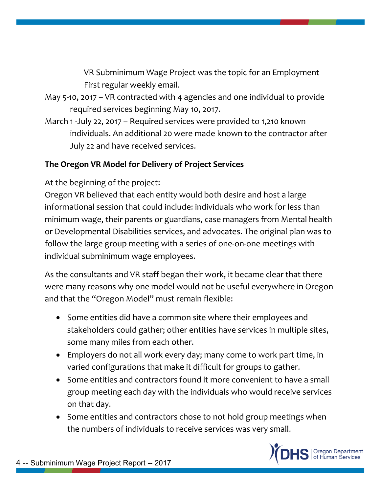VR Subminimum Wage Project was the topic for an Employment First regular weekly email.

- May 5-10, 2017 VR contracted with 4 agencies and one individual to provide required services beginning May 10, 2017.
- March 1 -July 22, 2017 Required services were provided to 1,210 known individuals. An additional 20 were made known to the contractor after July 22 and have received services.

## **The Oregon VR Model for Delivery of Project Services**

#### At the beginning of the project:

Oregon VR believed that each entity would both desire and host a large informational session that could include: individuals who work for less than minimum wage, their parents or guardians, case managers from Mental health or Developmental Disabilities services, and advocates. The original plan was to follow the large group meeting with a series of one-on-one meetings with individual subminimum wage employees.

As the consultants and VR staff began their work, it became clear that there were many reasons why one model would not be useful everywhere in Oregon and that the "Oregon Model" must remain flexible:

- Some entities did have a common site where their employees and stakeholders could gather; other entities have services in multiple sites, some many miles from each other.
- Employers do not all work every day; many come to work part time, in varied configurations that make it difficult for groups to gather.
- Some entities and contractors found it more convenient to have a small group meeting each day with the individuals who would receive services on that day.
- Some entities and contractors chose to not hold group meetings when the numbers of individuals to receive services was very small.

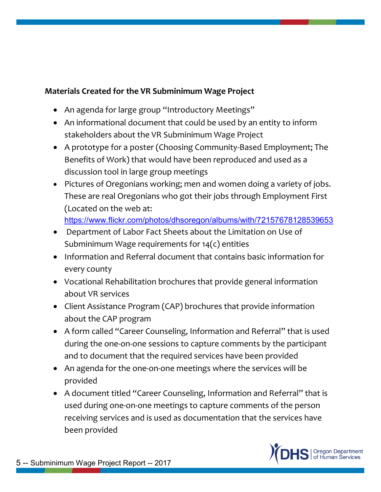# **Materials Created for the VR Subminimum Wage Project**

- An agenda for large group "Introductory Meetings"
- An informational document that could be used by an entity to inform stakeholders about the VR Subminimum Wage Project
- A prototype for a poster (Choosing Community-Based Employment; The Benefits of Work) that would have been reproduced and used as a discussion tool in large group meetings
- Pictures of Oregonians working; men and women doing a variety of jobs. These are real Oregonians who got their jobs through Employment First (Located on the web at: <https://www.flickr.com/photos/dhsoregon/albums/with/72157678128539653>
- Department of Labor Fact Sheets about the Limitation on Use of Subminimum Wage requirements for 14(c) entities
- Information and Referral document that contains basic information for every county
- Vocational Rehabilitation brochures that provide general information about VR services
- Client Assistance Program (CAP) brochures that provide information about the CAP program
- A form called "Career Counseling, Information and Referral" that is used during the one-on-one sessions to capture comments by the participant and to document that the required services have been provided
- An agenda for the one-on-one meetings where the services will be provided
- A document titled "Career Counseling, Information and Referral" that is used during one-on-one meetings to capture comments of the person receiving services and is used as documentation that the services have been provided

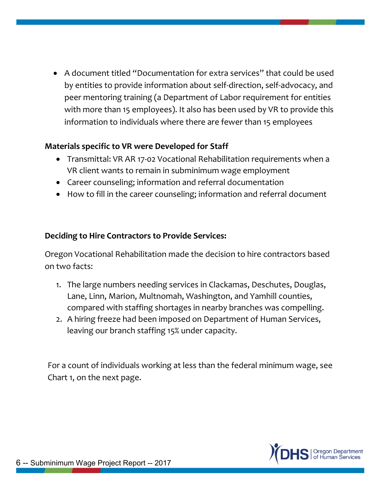A document titled "Documentation for extra services" that could be used by entities to provide information about self-direction, self-advocacy, and peer mentoring training (a Department of Labor requirement for entities with more than 15 employees). It also has been used by VR to provide this information to individuals where there are fewer than 15 employees

## **Materials specific to VR were Developed for Staff**

- Transmittal: VR AR 17-02 Vocational Rehabilitation requirements when a VR client wants to remain in subminimum wage employment
- Career counseling; information and referral documentation
- How to fill in the career counseling; information and referral document

#### **Deciding to Hire Contractors to Provide Services:**

Oregon Vocational Rehabilitation made the decision to hire contractors based on two facts:

- 1. The large numbers needing services in Clackamas, Deschutes, Douglas, Lane, Linn, Marion, Multnomah, Washington, and Yamhill counties, compared with staffing shortages in nearby branches was compelling.
- 2. A hiring freeze had been imposed on Department of Human Services, leaving our branch staffing 15% under capacity.

For a count of individuals working at less than the federal minimum wage, see Chart 1, on the next page.

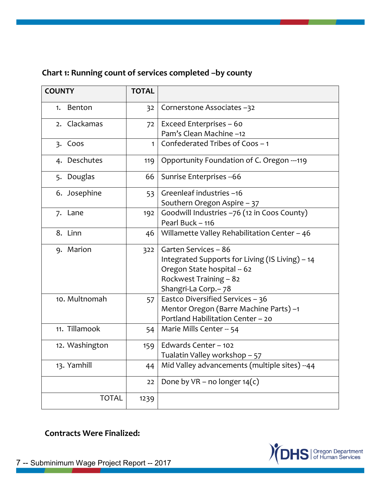# **Chart 1: Running count of services completed –by county**

| <b>COUNTY</b>  | <b>TOTAL</b> |                                                 |  |  |
|----------------|--------------|-------------------------------------------------|--|--|
| Benton<br>1.   | 32           | Cornerstone Associates -32                      |  |  |
| 2. Clackamas   | 72           | Exceed Enterprises - 60                         |  |  |
|                |              | Pam's Clean Machine -12                         |  |  |
| 3. Coos        | $\mathbf{1}$ | Confederated Tribes of Coos - 1                 |  |  |
| 4. Deschutes   | 119          | Opportunity Foundation of C. Oregon ---119      |  |  |
| 5. Douglas     | 66           | Sunrise Enterprises -- 66                       |  |  |
| 6. Josephine   | 53           | Greenleaf industries -16                        |  |  |
|                |              | Southern Oregon Aspire - 37                     |  |  |
| 7. Lane        | 192          | Goodwill Industries -76 (12 in Coos County)     |  |  |
|                |              | Pearl Buck - 116                                |  |  |
| 8. Linn        | 46           | Willamette Valley Rehabilitation Center - 46    |  |  |
| 9. Marion      | 322          | Garten Services - 86                            |  |  |
|                |              | Integrated Supports for Living (IS Living) - 14 |  |  |
|                |              | Oregon State hospital -- 62                     |  |  |
|                |              | Rockwest Training - 82                          |  |  |
|                |              | Shangri-La Corp. - 78                           |  |  |
| 10. Multnomah  | 57           | Eastco Diversified Services - 36                |  |  |
|                |              | Mentor Oregon (Barre Machine Parts) -1          |  |  |
|                |              | Portland Habilitation Center - 20               |  |  |
| 11. Tillamook  | 54           | Marie Mills Center -- 54                        |  |  |
| 12. Washington | 159          | Edwards Center - 102                            |  |  |
|                |              | Tualatin Valley workshop - 57                   |  |  |
| 13. Yamhill    | 44           | Mid Valley advancements (multiple sites) --44   |  |  |
|                | 22           | Done by $VR$ – no longer $14(c)$                |  |  |
| <b>TOTAL</b>   | 1239         |                                                 |  |  |

**Contracts Were Finalized:**

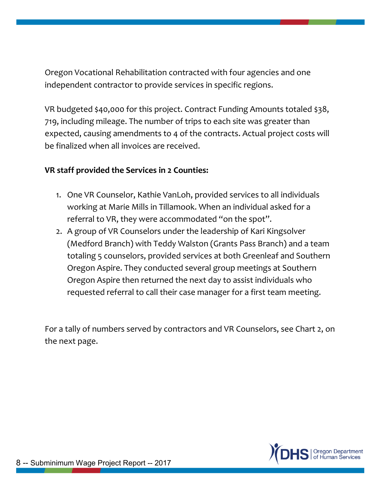Oregon Vocational Rehabilitation contracted with four agencies and one independent contractor to provide services in specific regions.

VR budgeted \$40,000 for this project. Contract Funding Amounts totaled \$38, 719, including mileage. The number of trips to each site was greater than expected, causing amendments to 4 of the contracts. Actual project costs will be finalized when all invoices are received.

#### **VR staff provided the Services in 2 Counties:**

- 1. One VR Counselor, Kathie VanLoh, provided services to all individuals working at Marie Mills in Tillamook. When an individual asked for a referral to VR, they were accommodated "on the spot".
- 2. A group of VR Counselors under the leadership of Kari Kingsolver (Medford Branch) with Teddy Walston (Grants Pass Branch) and a team totaling 5 counselors, provided services at both Greenleaf and Southern Oregon Aspire. They conducted several group meetings at Southern Oregon Aspire then returned the next day to assist individuals who requested referral to call their case manager for a first team meeting.

For a tally of numbers served by contractors and VR Counselors, see Chart 2, on the next page.

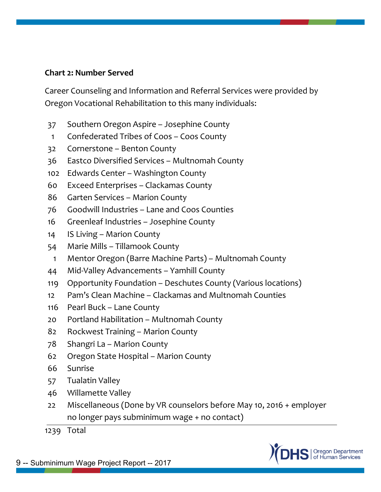#### **Chart 2: Number Served**

Career Counseling and Information and Referral Services were provided by Oregon Vocational Rehabilitation to this many individuals:

- 37 Southern Oregon Aspire Josephine County
- 1 Confederated Tribes of Coos Coos County
- 32 Cornerstone Benton County
- 36 Eastco Diversified Services Multnomah County
- 102 Edwards Center Washington County
- 60 Exceed Enterprises Clackamas County
- 86 Garten Services Marion County
- 76 Goodwill Industries Lane and Coos Counties
- 16 Greenleaf Industries Josephine County
- 14 IS Living Marion County
- 54 Marie Mills Tillamook County
- 1 Mentor Oregon (Barre Machine Parts) Multnomah County
- 44 Mid-Valley Advancements Yamhill County
- 119 Opportunity Foundation Deschutes County (Various locations)
- 12 Pam's Clean Machine Clackamas and Multnomah Counties
- 116 Pearl Buck Lane County
- 20 Portland Habilitation Multnomah County
- 82 Rockwest Training Marion County
- 78 Shangri La Marion County
- 62 Oregon State Hospital Marion County
- 66 Sunrise
- 57 Tualatin Valley
- 46 Willamette Valley
- 22 Miscellaneous (Done by VR counselors before May 10, 2016 + employer no longer pays subminimum wage + no contact)

1239 Total

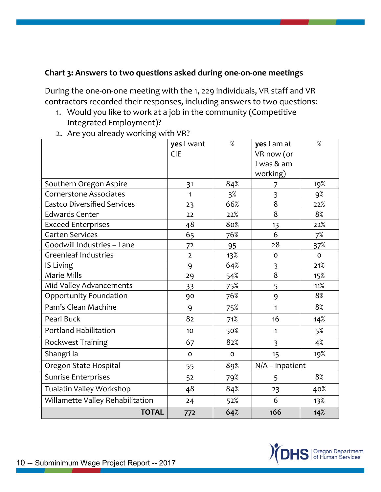#### **Chart 3: Answers to two questions asked during one-on-one meetings**

During the one-on-one meeting with the 1, 229 individuals, VR staff and VR contractors recorded their responses, including answers to two questions:

- 1. Would you like to work at a job in the community (Competitive Integrated Employment)?
- 2. Are you already working with VR?

|                                    | yes I want     | $\%$         | yes I am at             | $\%$         |
|------------------------------------|----------------|--------------|-------------------------|--------------|
|                                    | <b>CIE</b>     |              | VR now (or              |              |
|                                    |                |              | I was & am              |              |
|                                    |                |              | working)                |              |
| Southern Oregon Aspire             | 31             | 84%          | 7                       | 19%          |
| <b>Cornerstone Associates</b>      | 1              | $3\%$        | $\overline{\mathbf{3}}$ | 9%           |
| <b>Eastco Diversified Services</b> | 23             | 66%          | 8                       | 22%          |
| <b>Edwards Center</b>              | 22             | 22%          | 8                       | 8%           |
| <b>Exceed Enterprises</b>          | 48             | 80%          | 13                      | 22%          |
| <b>Garten Services</b>             | 65             | 76%          | 6                       | 7%           |
| Goodwill Industries - Lane         | 72             | 95           | 28                      | 37%          |
| <b>Greenleaf Industries</b>        | $\overline{2}$ | 13%          | $\mathbf 0$             | $\mathsf{o}$ |
| IS Living                          | 9              | 64%          | 3                       | 21%          |
| Marie Mills                        | 29             | 54%          | 8                       | 15%          |
| Mid-Valley Advancements            | 33             | 75%          | 5                       | 11%          |
| Opportunity Foundation             | 90             | 76%          | 9                       | 8%           |
| Pam's Clean Machine                | 9              | 75%          | 1                       | 8%           |
| Pearl Buck                         | 82             | 71%          | 16                      | 14%          |
| <b>Portland Habilitation</b>       | 10             | 50%          | 1                       | $5\%$        |
| Rockwest Training                  | 67             | 82%          | $\overline{3}$          | 4%           |
| Shangri la                         | $\mathsf{o}$   | $\mathbf{o}$ | 15                      | 19%          |
| Oregon State Hospital              | 55             | 89%          | $N/A$ – inpatient       |              |
| <b>Sunrise Enterprises</b>         | 52             | 79%          | 5                       | 8%           |
| Tualatin Valley Workshop           | 48             | 84%          | 23                      | 40%          |
| Willamette Valley Rehabilitation   | 24             | 52%          | 6                       | 13%          |
| <b>TOTAL</b>                       | 772            | 64%          | 166                     | 14%          |

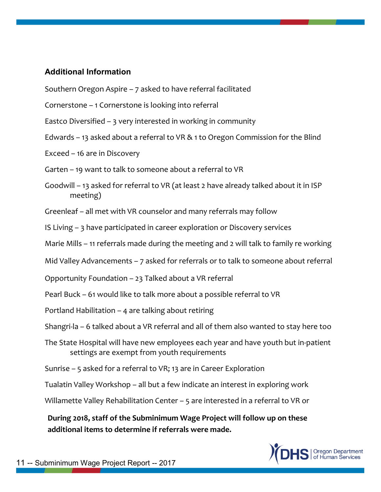#### **Additional Information**

- Southern Oregon Aspire 7 asked to have referral facilitated
- Cornerstone 1 Cornerstone is looking into referral
- Eastco Diversified 3 very interested in working in community
- Edwards 13 asked about a referral to VR & 1 to Oregon Commission for the Blind
- Exceed 16 are in Discovery
- Garten 19 want to talk to someone about a referral to VR
- Goodwill 13 asked for referral to VR (at least 2 have already talked about it in ISP meeting)
- Greenleaf all met with VR counselor and many referrals may follow
- IS Living 3 have participated in career exploration or Discovery services
- Marie Mills 11 referrals made during the meeting and 2 will talk to family re working
- Mid Valley Advancements 7 asked for referrals or to talk to someone about referral
- Opportunity Foundation 23 Talked about a VR referral
- Pearl Buck 61 would like to talk more about a possible referral to VR
- Portland Habilitation 4 are talking about retiring
- Shangri-la 6 talked about a VR referral and all of them also wanted to stay here too
- The State Hospital will have new employees each year and have youth but in-patient settings are exempt from youth requirements
- Sunrise 5 asked for a referral to VR; 13 are in Career Exploration
- Tualatin Valley Workshop all but a few indicate an interest in exploring work
- Willamette Valley Rehabilitation Center 5 are interested in a referral to VR or

**During 2018, staff of the Subminimum Wage Project will follow up on these additional items to determine if referrals were made.** 

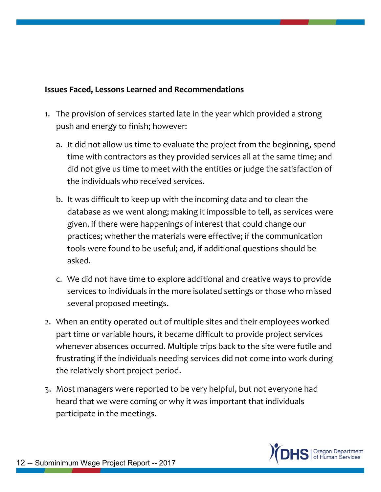#### **Issues Faced, Lessons Learned and Recommendations**

- 1. The provision of services started late in the year which provided a strong push and energy to finish; however:
	- a. It did not allow us time to evaluate the project from the beginning, spend time with contractors as they provided services all at the same time; and did not give us time to meet with the entities or judge the satisfaction of the individuals who received services.
	- b. It was difficult to keep up with the incoming data and to clean the database as we went along; making it impossible to tell, as services were given, if there were happenings of interest that could change our practices; whether the materials were effective; if the communication tools were found to be useful; and, if additional questions should be asked.
	- c. We did not have time to explore additional and creative ways to provide services to individuals in the more isolated settings or those who missed several proposed meetings.
- 2. When an entity operated out of multiple sites and their employees worked part time or variable hours, it became difficult to provide project services whenever absences occurred. Multiple trips back to the site were futile and frustrating if the individuals needing services did not come into work during the relatively short project period.
- 3. Most managers were reported to be very helpful, but not everyone had heard that we were coming or why it was important that individuals participate in the meetings.

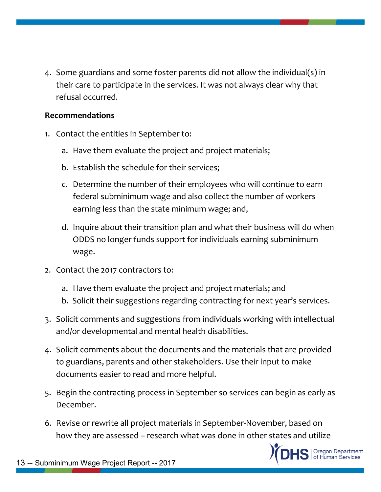4. Some guardians and some foster parents did not allow the individual(s) in their care to participate in the services. It was not always clear why that refusal occurred.

#### **Recommendations**

- 1. Contact the entities in September to:
	- a. Have them evaluate the project and project materials;
	- b. Establish the schedule for their services;
	- c. Determine the number of their employees who will continue to earn federal subminimum wage and also collect the number of workers earning less than the state minimum wage; and,
	- d. Inquire about their transition plan and what their business will do when ODDS no longer funds support for individuals earning subminimum wage.
- 2. Contact the 2017 contractors to:
	- a. Have them evaluate the project and project materials; and
	- b. Solicit their suggestions regarding contracting for next year's services.
- 3. Solicit comments and suggestions from individuals working with intellectual and/or developmental and mental health disabilities.
- 4. Solicit comments about the documents and the materials that are provided to guardians, parents and other stakeholders. Use their input to make documents easier to read and more helpful.
- 5. Begin the contracting process in September so services can begin as early as December.
- 6. Revise or rewrite all project materials in September-November, based on how they are assessed – research what was done in other states and utilize